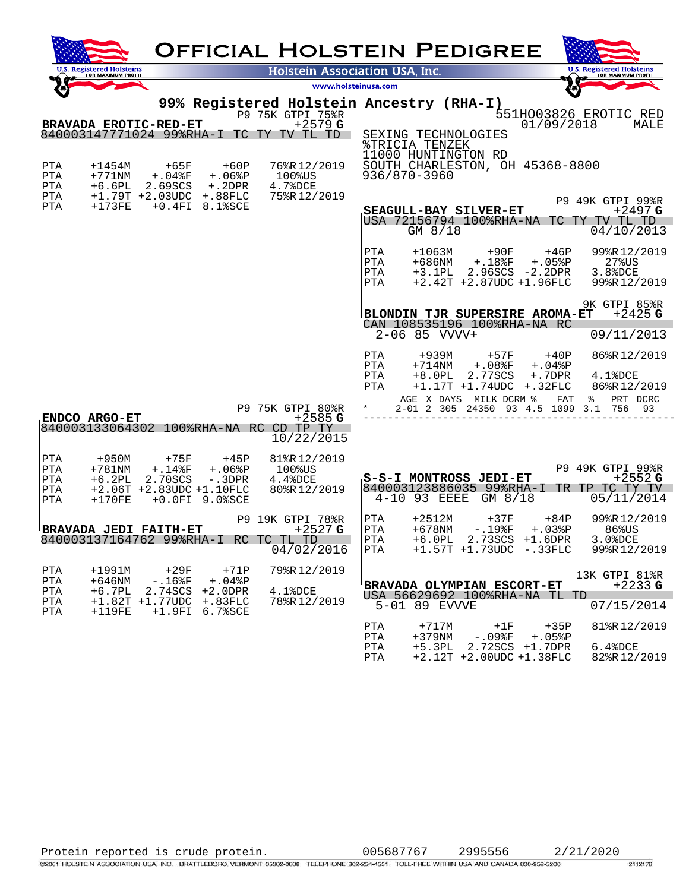| <b>OFFICIAL HOLSTEIN PEDIGREE</b>                                                                                                                                                       |                                                      |                                                                                                                                                                                                                                                                                                                              |  |  |  |  |  |  |  |  |
|-----------------------------------------------------------------------------------------------------------------------------------------------------------------------------------------|------------------------------------------------------|------------------------------------------------------------------------------------------------------------------------------------------------------------------------------------------------------------------------------------------------------------------------------------------------------------------------------|--|--|--|--|--|--|--|--|
| <b>Registered Holsteins</b><br>FOR MAXIMUM PROFIT                                                                                                                                       | <b>Holstein Association USA, Inc.</b>                | <b>U.S. Registered Holsteins</b><br>FOR MAXIMUM PROFIT                                                                                                                                                                                                                                                                       |  |  |  |  |  |  |  |  |
|                                                                                                                                                                                         | www.holsteinusa.com                                  | <b>10 pr</b>                                                                                                                                                                                                                                                                                                                 |  |  |  |  |  |  |  |  |
|                                                                                                                                                                                         | P9 75K GTPI 75%R                                     | 99% Registered Holstein Ancestry (RHA-I)<br>551HO03826 EROTIC RED                                                                                                                                                                                                                                                            |  |  |  |  |  |  |  |  |
| <b>BRAVADA EROTIC-RED-ET</b><br>840003147771024 99%RHA-I TC TY TV TL TD                                                                                                                 | $+2579$ G                                            | 01/09/2018<br>MALE<br>SEXING TECHNOLOGIES                                                                                                                                                                                                                                                                                    |  |  |  |  |  |  |  |  |
| $+1454M$<br>PTA<br>$+65F$<br>$+60P$<br>$+771$ NM<br>$+.06%P$<br>PTA<br>$+.04$ $F$<br>$+6.6$ PL<br>$+.2$ DPR<br>PTA<br>2.69SCS                                                           | 76%R12/2019<br>$100\$$ US<br>4.7%DCE<br>75%R12/2019  | <b>&amp;TRICIA TENZEK</b><br>11000 HUNTINGTON RD<br>SOUTH CHARLESTON, OH 45368-8800<br>936/870-3960                                                                                                                                                                                                                          |  |  |  |  |  |  |  |  |
| $+ .88$ FLC<br>PTA<br>$+1.79T + 2.03UDC$<br>PTA<br>$+173FE$<br>$+0.4$ FI 8.1%SCE                                                                                                        |                                                      | P9 49K GTPI 99%R<br>SEAGULL-BAY SILVER-ET<br>$+2497$ G<br>USA 72156794 100%RHA-NA TC TY TV TL TD<br>$GM$ 8/18<br>04/10/2013                                                                                                                                                                                                  |  |  |  |  |  |  |  |  |
|                                                                                                                                                                                         |                                                      | PTA<br>$+1063M$<br>+90F<br>$+46P$<br>99%R12/2019<br>PTA<br>$+686$ NM<br>$+.18$ <sup>8</sup> F<br>$+.05%P$<br>$27$ % $US$<br>$2.96SCS - 2.2DPR$<br>3.8%DCE<br>PTA<br>$+3.1PL$<br>$+2.42T + 2.87UDC + 1.96FLC$<br>99%R12/2019<br>PTA                                                                                           |  |  |  |  |  |  |  |  |
|                                                                                                                                                                                         |                                                      | 9K GTPI 85%R<br>$+2425$ G<br>BLONDIN TJR SUPERSIRE AROMA-ET<br>CAN 108535196 100%RHA-NA RC<br>$2 - 06$ 85 VVVV+<br>09/11/2013                                                                                                                                                                                                |  |  |  |  |  |  |  |  |
|                                                                                                                                                                                         | P9 75K GTPI 80%R                                     | $+939M$<br>86%R12/2019<br>PTA<br>$+57F$<br>$+40P$<br>$+714$ NM<br>PTA<br>$+.08$ $F$<br>$+.04$ % $P$<br>PTA<br>$+8.0PL$<br>2.77SCS<br>$+.7$ D $PR$<br>$4.1$ $8DCE$<br>$+1.17T +1.74UDC$<br>$+.32FLC$<br>86%R12/2019<br>PTA<br>PRT DCRC<br>AGE X DAYS MILK DCRM %<br>FAT<br>ႜ<br>2-01 2 305 24350 93 4.5 1099 3.1<br>756<br>93 |  |  |  |  |  |  |  |  |
| <b>ENDCO ARGO-ET</b><br>840003133064302 100%RHA-NA RC CD TP TY                                                                                                                          | $+2585G$<br>10/22/2015                               |                                                                                                                                                                                                                                                                                                                              |  |  |  |  |  |  |  |  |
| PTA<br>+950M<br>+75F<br>$+45P$<br>$+781$ NM<br>$+.14$ % $F$<br>$+.06%P$<br>PTA<br>$+6.2PL$<br>2.70SCS<br>$-$ .3DPR<br>PTA<br>$+2.06T + 2.83UDC + 1.10FLC$<br>PTA                        | 81%R12/2019<br>100%US<br>$4.4$ $8DCE$<br>80%R12/2019 | P9 49K GTPI 99%R<br>$+2552G$<br>S-S-I MONTROSS JEDI-ET<br>840003123886035 99%RHA-I<br>TR TP TC TY TV                                                                                                                                                                                                                         |  |  |  |  |  |  |  |  |
| $+0.0$ FI $9.0$ %SCE<br>PTA<br>$+170$ FE                                                                                                                                                |                                                      | 4-10 93 EEEE<br>05/11/2014<br>GM 8/18                                                                                                                                                                                                                                                                                        |  |  |  |  |  |  |  |  |
| <b>BRAVADA JEDI FAITH-ET</b><br>840003137164762 99%RHA-I RC TC TL TD                                                                                                                    | P9 19K GTPI 78%R<br>$+2527$ G<br>04/02/2016          | PTA<br>$+2512M$<br>+84P<br>99%R12/2019<br>+37F<br>$-.19$ <sup>8</sup> F<br>$+.03%P$<br>PTA<br>$+678$ NM<br>86%US<br>3.0%DCE<br> PTA<br>$+6.0PL$ 2.73SCS $+1.6DPR$<br>PTA<br>$+1.57T$ $+1.73UDC$ $- .33FLC$<br>99%R12/2019                                                                                                    |  |  |  |  |  |  |  |  |
| $+1991M$<br>+29F<br>PTA<br>$+71P$<br>$+646$ NM<br>$+.04$ % $P$<br>PTA<br>$-.16$ $F$<br>$+6.7PL$<br>PTA<br>$2.74SCS + 2.0DPR$<br>PTA<br>$+1.82T +1.77UDC$<br>+.83FLC<br>$+1.9FI$ 6.7%SCE | 79%R12/2019<br>4.1%DCE<br>78%R12/2019                | 13K GTPI 81%R<br>$+2233G$<br>BRAVADA OLYMPIAN ESCORT-ET<br>USA 56629692 100%RHA-NA TL TD<br>07/15/2014<br>5-01 89 EVVVE                                                                                                                                                                                                      |  |  |  |  |  |  |  |  |
| $+119FE$<br>PTA                                                                                                                                                                         |                                                      | 81%R12/2019<br>PTA<br>$+717M$<br>$+35P$<br>$+1F$<br>$+379$ NM<br>PTA<br>$-0.9$ $\mathrm{F}$<br>$+.05$ & $P$<br>$+5.3PL$<br>2.72SCS +1.7DPR<br>PTA<br>$6.48$ DCE                                                                                                                                                              |  |  |  |  |  |  |  |  |

PTA +2.12T +2.00UDC +1.38FLC 82%R 12/2019

Protein reported is crude protein. 005687767 2995556 2/21/2020<br>
C2001 HOLSTEIN ASSOCIATION USA, INC. BRATTLEBORO, VERMONT 05302-0808 TELEPHONE 802-254-4551 TOLL-FREE WITHIN USA AND CANADA 800-952-5200